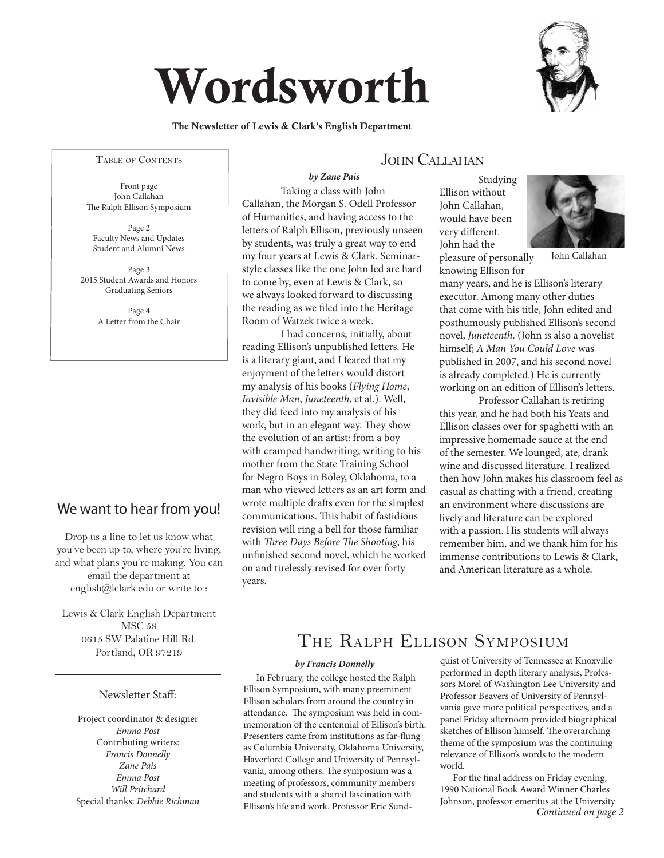# Wordsworth



#### Table of Contents

Front page John Callahan The Ralph Ellison Symposium

Page 2 Faculty News and Updates Student and Alumni News

Page 3 2015 Student Awards and Honors Graduating Seniors

> Page 4 A Letter from the Chair

### We want to hear from you!

Drop us a line to let us know what you've been up to, where you're living, and what plans you're making. You can email the department at english@lclark.edu or write to :

Lewis & Clark English Department MSC 58 0615 SW Palatine Hill Rd. Portland, OR 97219

#### Newsletter Staff:

Project coordinator & designer *Emma Post* Contributing writers: *Francis Donnelly Zane Pais Emma Post Will Pritchard* Special thanks: *Debbie Richman*

### JOHN CALLAHAN

Taking a class with John Callahan, the Morgan S. Odell Professor of Humanities, and having access to the letters of Ralph Ellison, previously unseen by students, was truly a great way to end my four years at Lewis & Clark. Seminarstyle classes like the one John led are hard to come by, even at Lewis & Clark, so we always looked forward to discussing the reading as we filed into the Heritage Room of Watzek twice a week. *by Zane Pais*

I had concerns, initially, about reading Ellison's unpublished letters. He is a literary giant, and I feared that my enjoyment of the letters would distort my analysis of his books (*Flying Home*, *Invisible Man*, *Juneteenth*, et al.). Well, they did feed into my analysis of his work, but in an elegant way. They show the evolution of an artist: from a boy with cramped handwriting, writing to his mother from the State Training School for Negro Boys in Boley, Oklahoma, to a man who viewed letters as an art form and wrote multiple drafts even for the simplest communications. This habit of fastidious revision will ring a bell for those familiar with *Three Days Before The Shooting*, his unfinished second novel, which he worked on and tirelessly revised for over forty years.

Studying Ellison without John Callahan, would have been very different. John had the pleasure of personally



John Callahan

knowing Ellison for many years, and he is Ellison's literary executor. Among many other duties that come with his title, John edited and posthumously published Ellison's second novel, *Juneteenth*. (John is also a novelist himself; *A Man You Could Love* was published in 2007, and his second novel is already completed.) He is currently working on an edition of Ellison's letters.

Professor Callahan is retiring this year, and he had both his Yeats and Ellison classes over for spaghetti with an impressive homemade sauce at the end of the semester. We lounged, ate, drank wine and discussed literature. I realized then how John makes his classroom feel as casual as chatting with a friend, creating an environment where discussions are lively and literature can be explored with a passion. His students will always remember him, and we thank him for his immense contributions to Lewis & Clark, and American literature as a whole.

# The Ralph Ellison Symposium

#### *by Francis Donnelly*

In February, the college hosted the Ralph Ellison Symposium, with many preeminent Ellison scholars from around the country in attendance. The symposium was held in commemoration of the centennial of Ellison's birth. Presenters came from institutions as far-flung as Columbia University, Oklahoma University, Haverford College and University of Pennsylvania, among others. The symposium was a meeting of professors, community members and students with a shared fascination with Ellison's life and work. Professor Eric Sundquist of University of Tennessee at Knoxville performed in depth literary analysis, Professors Morel of Washington Lee University and Professor Beavers of University of Pennsylvania gave more political perspectives, and a panel Friday afternoon provided biographical sketches of Ellison himself. The overarching theme of the symposium was the continuing relevance of Ellison's words to the modern world.

For the final address on Friday evening, 1990 National Book Award Winner Charles Johnson, professor emeritus at the University *Continued on page 2*

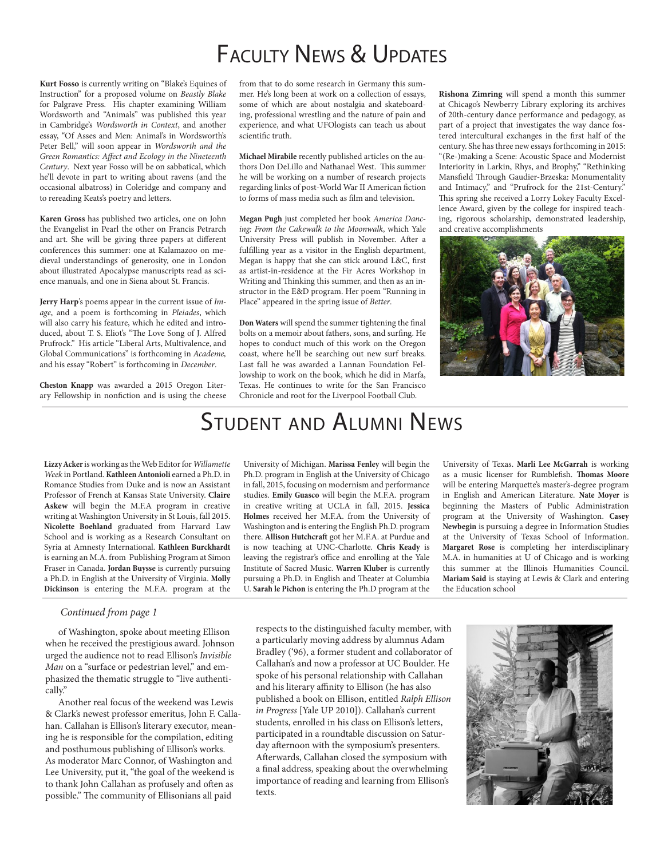# FACULTY NEWS & UPDATES

**Kurt Fosso** is currently writing on "Blake's Equines of Instruction" for a proposed volume on *Beastly Blake* for Palgrave Press. His chapter examining William Wordsworth and "Animals" was published this year in Cambridge's *Wordsworth in Context*, and another essay, "Of Asses and Men: Animal's in Wordsworth's Peter Bell," will soon appear in *Wordsworth and the Green Romantics: Affect and Ecology in the Nineteenth Century*. Next year Fosso will be on sabbatical, which he'll devote in part to writing about ravens (and the occasional albatross) in Coleridge and company and to rereading Keats's poetry and letters.

**Karen Gross** has published two articles, one on John the Evangelist in Pearl the other on Francis Petrarch and art. She will be giving three papers at different conferences this summer: one at Kalamazoo on medieval understandings of generosity, one in London about illustrated Apocalypse manuscripts read as science manuals, and one in Siena about St. Francis.

**Jerry Harp**'s poems appear in the current issue of *Image*, and a poem is forthcoming in *Pleiades*, which will also carry his feature, which he edited and introduced, about T. S. Eliot's "The Love Song of J. Alfred Prufrock." His article "Liberal Arts, Multivalence, and Global Communications" is forthcoming in *Academe,* and his essay "Robert" is forthcoming in *December*.

**Cheston Knapp** was awarded a 2015 Oregon Literary Fellowship in nonfiction and is using the cheese from that to do some research in Germany this summer. He's long been at work on a collection of essays, some of which are about nostalgia and skateboarding, professional wrestling and the nature of pain and experience, and what UFOlogists can teach us about scientific truth.

**Michael Mirabile** recently published articles on the authors Don DeLillo and Nathanael West. This summer he will be working on a number of research projects regarding links of post-World War II American fiction to forms of mass media such as film and television.

**Megan Pugh** just completed her book *America Dancing: From the Cakewalk to the Moonwalk*, which Yale University Press will publish in November. After a fulfilling year as a visitor in the English department, Megan is happy that she can stick around L&C, first as artist-in-residence at the Fir Acres Workshop in Writing and Thinking this summer, and then as an instructor in the E&D program. Her poem "Running in Place" appeared in the spring issue of *Better*.

**Don Waters** will spend the summer tightening the final bolts on a memoir about fathers, sons, and surfing. He hopes to conduct much of this work on the Oregon coast, where he'll be searching out new surf breaks. Last fall he was awarded a Lannan Foundation Fellowship to work on the book, which he did in Marfa, Texas. He continues to write for the San Francisco Chronicle and root for the Liverpool Football Club.

**Rishona Zimring** will spend a month this summer at Chicago's Newberry Library exploring its archives of 20th-century dance performance and pedagogy, as part of a project that investigates the way dance fostered intercultural exchanges in the first half of the century. She has three new essays forthcoming in 2015: "(Re-)making a Scene: Acoustic Space and Modernist Interiority in Larkin, Rhys, and Brophy," "Rethinking Mansfield Through Gaudier-Brzeska: Monumentality and Intimacy," and "Prufrock for the 21st-Century." This spring she received a Lorry Lokey Faculty Excellence Award, given by the college for inspired teaching, rigorous scholarship, demonstrated leadership, and creative accomplishments



# Student and Alumni News

**Lizzy Acker** is working as the Web Editor for *Willamette Week* in Portland. **Kathleen Antonioli** earned a Ph.D. in Romance Studies from Duke and is now an Assistant Professor of French at Kansas State University. **Claire Askew** will begin the M.F.A program in creative writing at Washington University in St Louis, fall 2015. **Nicolette Boehland** graduated from Harvard Law School and is working as a Research Consultant on Syria at Amnesty International. **Kathleen Burckhardt** is earning an M.A. from Publishing Program at Simon Fraser in Canada. **Jordan Buysse** is currently pursuing a Ph.D. in English at the University of Virginia. **Molly Dickinson** is entering the M.F.A. program at the

#### *Continued from page 1*

of Washington, spoke about meeting Ellison when he received the prestigious award. Johnson urged the audience not to read Ellison's *Invisible Man* on a "surface or pedestrian level," and emphasized the thematic struggle to "live authentically."

Another real focus of the weekend was Lewis & Clark's newest professor emeritus, John F. Callahan. Callahan is Ellison's literary executor, meaning he is responsible for the compilation, editing and posthumous publishing of Ellison's works. As moderator Marc Connor, of Washington and Lee University, put it, "the goal of the weekend is to thank John Callahan as profusely and often as possible." The community of Ellisonians all paid

University of Michigan. **Marissa Fenley** will begin the Ph.D. program in English at the University of Chicago in fall, 2015, focusing on modernism and performance studies. **Emily Guasco** will begin the M.F.A. program in creative writing at UCLA in fall, 2015. **Jessica Holmes** received her M.F.A. from the University of Washington and is entering the English Ph.D. program there. **Allison Hutchcraft** got her M.F.A. at Purdue and is now teaching at UNC-Charlotte. **Chris Keady** is leaving the registrar's office and enrolling at the Yale Institute of Sacred Music. **Warren Kluber** is currently pursuing a Ph.D. in English and Theater at Columbia U. **Sarah le Pichon** is entering the Ph.D program at the

University of Texas. **Marli Lee McGarrah** is working as a music licenser for Rumblefish. **Thomas Moore** will be entering Marquette's master's-degree program in English and American Literature. **Nate Moyer** is beginning the Masters of Public Administration program at the University of Washington. **Casey Newbegin** is pursuing a degree in Information Studies at the University of Texas School of Information. **Margaret Rose** is completing her interdisciplinary M.A. in humanities at U of Chicago and is working this summer at the Illinois Humanities Council. **Mariam Said** is staying at Lewis & Clark and entering the Education school

respects to the distinguished faculty member, with a particularly moving address by alumnus Adam Bradley ('96), a former student and collaborator of Callahan's and now a professor at UC Boulder. He spoke of his personal relationship with Callahan and his literary affinity to Ellison (he has also published a book on Ellison, entitled *Ralph Ellison in Progress* [Yale UP 2010]). Callahan's current students, enrolled in his class on Ellison's letters, participated in a roundtable discussion on Saturday afternoon with the symposium's presenters. Afterwards, Callahan closed the symposium with a final address, speaking about the overwhelming importance of reading and learning from Ellison's texts.

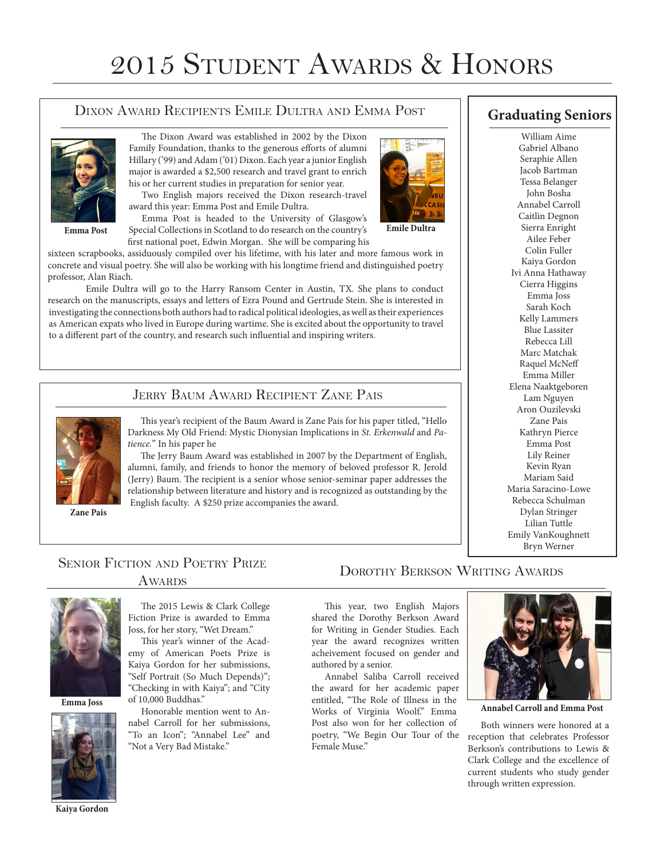# 2015 Student Awards & Honors

#### Dixon Award Recipients Emile Dultra and Emma Post



**Emma Post**

The Dixon Award was established in 2002 by the Dixon Family Foundation, thanks to the generous efforts of alumni Hillary ('99) and Adam ('01) Dixon. Each year a junior English major is awarded a \$2,500 research and travel grant to enrich his or her current studies in preparation for senior year.

Two English majors received the Dixon research-travel award this year: Emma Post and Emile Dultra.

Emma Post is headed to the University of Glasgow's Special Collections in Scotland to do research on the country's first national poet, Edwin Morgan. She will be comparing his

sixteen scrapbooks, assiduously compiled over his lifetime, with his later and more famous work in concrete and visual poetry. She will also be working with his longtime friend and distinguished poetry professor, Alan Riach.

Emile Dultra will go to the Harry Ransom Center in Austin, TX. She plans to conduct research on the manuscripts, essays and letters of Ezra Pound and Gertrude Stein. She is interested in investigating the connections both authors had to radical political ideologies, as well as their experiences as American expats who lived in Europe during wartime. She is excited about the opportunity to travel to a different part of the country, and research such influential and inspiring writers.

### JERRY BAUM AWARD RECIPIENT ZANE PAIS



**Zane Pais**

This year's recipient of the Baum Award is Zane Pais for his paper titled, "Hello Darkness My Old Friend: Mystic Dionysian Implications in *St. Erkenwald* and *Patience.*" In his paper he

The Jerry Baum Award was established in 2007 by the Department of English, alumni, family, and friends to honor the memory of beloved professor R. Jerold (Jerry) Baum. The recipient is a senior whose senior-seminar paper addresses the relationship between literature and history and is recognized as outstanding by the English faculty. A \$250 prize accompanies the award.

### **Graduating Seniors**

William Aime Gabriel Albano Seraphie Allen Jacob Bartman Tessa Belanger John Bosha Annabel Carroll Caitlin Degnon Sierra Enright Ailee Feber Colin Fuller Kaiya Gordon Ivi Anna Hathaway Cierra Higgins Emma Joss Sarah Koch Kelly Lammers Blue Lassiter Rebecca Lill Marc Matchak Raquel McNeff Emma Miller Elena Naaktgeboren Lam Nguyen Aron Ouzilevski Zane Pais Kathryn Pierce Emma Post Lily Reiner Kevin Ryan Mariam Said Maria Saracino-Lowe Rebecca Schulman Dylan Stringer Lilian Tuttle Emily VanKoughnett Bryn Werner

## SENIOR FICTION AND POETRY PRIZE



**Emma Joss**



**Kaiya Gordon**

# **AWARDS**

The 2015 Lewis & Clark College Fiction Prize is awarded to Emma Joss, for her story, "Wet Dream."

This year's winner of the Academy of American Poets Prize is Kaiya Gordon for her submissions, "Self Portrait (So Much Depends)"; "Checking in with Kaiya"; and "City of 10,000 Buddhas."

Honorable mention went to Annabel Carroll for her submissions, "To an Icon"; "Annabel Lee" and "Not a Very Bad Mistake."

This year, two English Majors shared the Dorothy Berkson Award for Writing in Gender Studies. Each year the award recognizes written acheivement focused on gender and authored by a senior.

DOROTHY BERKSON WRITING AWARDS

Annabel Saliba Carroll received the award for her academic paper entitled, "The Role of Illness in the Works of Virginia Woolf." Emma Post also won for her collection of poetry, "We Begin Our Tour of the Female Muse."



**Annabel Carroll and Emma Post**

Both winners were honored at a reception that celebrates Professor Berkson's contributions to Lewis & Clark College and the excellence of current students who study gender through written expression.



**Emile Dultra**